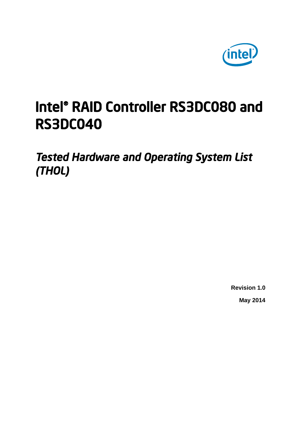

# Intel® RAID Controller RS3DC080 and RS3DC040

*Tested Hardware and Operating System List (THOL)* 

> **Revision 1.0 May 2014**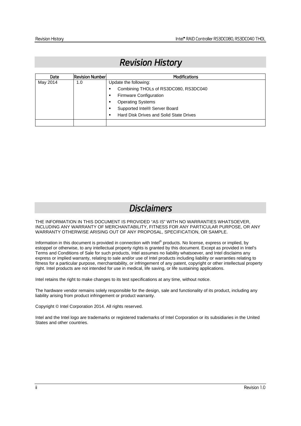| Date     | <b>Revision Number</b> | <b>Modifications</b>                    |  |  |
|----------|------------------------|-----------------------------------------|--|--|
| May 2014 | 1.0                    | Update the following:                   |  |  |
|          |                        | Combining THOLs of RS3DC080, RS3DC040   |  |  |
|          |                        | Firmware Configuration<br>٠             |  |  |
|          |                        | <b>Operating Systems</b>                |  |  |
|          |                        | Supported Intel® Server Board           |  |  |
|          |                        | Hard Disk Drives and Solid State Drives |  |  |
|          |                        |                                         |  |  |

## *Revision History*

## *Disclaimers*

THE INFORMATION IN THIS DOCUMENT IS PROVIDED "AS IS" WITH NO WARRANTIES WHATSOEVER, INCLUDING ANY WARRANTY OF MERCHANTABILITY, FITNESS FOR ANY PARTICULAR PURPOSE, OR ANY WARRANTY OTHERWISE ARISING OUT OF ANY PROPOSAL, SPECIFICATION, OR SAMPLE.

Information in this document is provided in connection with Intel® products. No license, express or implied, by estoppel or otherwise, to any intellectual property rights is granted by this document. Except as provided in Intel's Terms and Conditions of Sale for such products, Intel assumes no liability whatsoever, and Intel disclaims any express or implied warranty, relating to sale and/or use of Intel products including liability or warranties relating to fitness for a particular purpose, merchantability, or infringement of any patent, copyright or other intellectual property right. Intel products are not intended for use in medical, life saving, or life sustaining applications.

Intel retains the right to make changes to its test specifications at any time, without notice.

The hardware vendor remains solely responsible for the design, sale and functionality of its product, including any liability arising from product infringement or product warranty.

Copyright © Intel Corporation 2014. All rights reserved.

Intel and the Intel logo are trademarks or registered trademarks of Intel Corporation or its subsidiaries in the United States and other countries.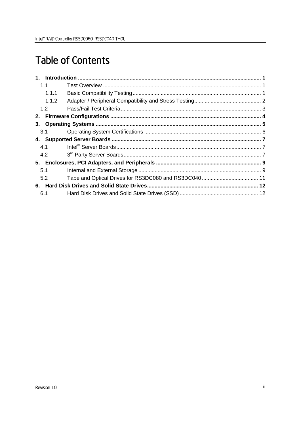# **Table of Contents**

| 1.1 |       |  |
|-----|-------|--|
|     | 1.1.1 |  |
|     | 1.1.2 |  |
| 1.2 |       |  |
| 2.  |       |  |
| 3.  |       |  |
| 3.1 |       |  |
|     |       |  |
| 4.1 |       |  |
| 4.2 |       |  |
|     |       |  |
| 5.1 |       |  |
| 5.2 |       |  |
| 6.  |       |  |
| 6.1 |       |  |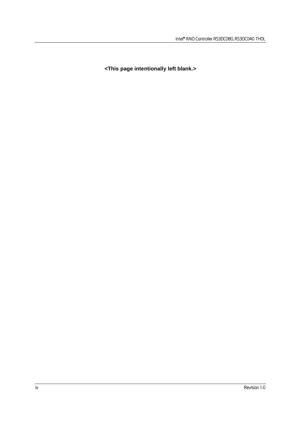**<This page intentionally left blank.>**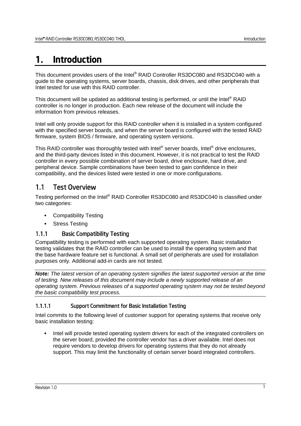## 1. Introduction

This document provides users of the Intel® RAID Controller RS3DC080 and RS3DC040 with a guide to the operating systems, server boards, chassis, disk drives, and other peripherals that Intel tested for use with this RAID controller.

This document will be updated as additional testing is performed, or until the Intel<sup>®</sup> RAID controller is no longer in production. Each new release of the document will include the information from previous releases.

Intel will only provide support for this RAID controller when it is installed in a system configured with the specified server boards, and when the server board is configured with the tested RAID firmware, system BIOS / firmware, and operating system versions.

This RAID controller was thoroughly tested with Intel® server boards, Intel® drive enclosures, and the third-party devices listed in this document. However, it is not practical to test the RAID controller in every possible combination of server board, drive enclosure, hard drive, and peripheral device. Sample combinations have been tested to gain confidence in their compatibility, and the devices listed were tested in one or more configurations.

## 1.1 Test Overview

Testing performed on the Intel® RAID Controller RS3DC080 and RS3DC040 is classified under two categories:

- **•** Compatibility Testing
- **Stress Testing**

## 1.1.1 Basic Compatibility Testing

Compatibility testing is performed with each supported operating system. Basic installation testing validates that the RAID controller can be used to install the operating system and that the base hardware feature set is functional. A small set of peripherals are used for installation purposes only. Additional add-in cards are not tested.

*Note: The latest version of an operating system signifies the latest supported version at the time of testing. New releases of this document may include a newly supported release of an operating system. Previous releases of a supported operating system may not be tested beyond the basic compatibility test process.* 

## 1.1.1.1 Support Commitment for Basic Installation Testing

Intel commits to the following level of customer support for operating systems that receive only basic installation testing:

 Intel will provide tested operating system drivers for each of the integrated controllers on the server board, provided the controller vendor has a driver available. Intel does not require vendors to develop drivers for operating systems that they do not already support. This may limit the functionality of certain server board integrated controllers.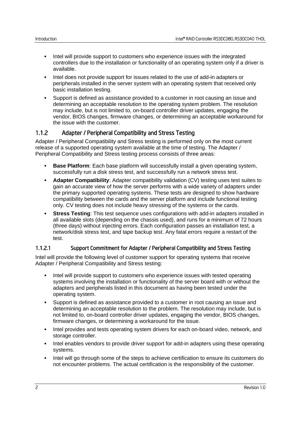- Intel will provide support to customers who experience issues with the integrated controllers due to the installation or functionality of an operating system only if a driver is available.
- Intel does not provide support for issues related to the use of add-in adapters or peripherals installed in the server system with an operating system that received only basic installation testing.
- Support is defined as assistance provided to a customer in root causing an issue and determining an acceptable resolution to the operating system problem. The resolution may include, but is not limited to, on-board controller driver updates, engaging the vendor, BIOS changes, firmware changes, or determining an acceptable workaround for the issue with the customer.

#### 1.1.2 Adapter / Peripheral Compatibility and Stress Testing

Adapter / Peripheral Compatibility and Stress testing is performed only on the most current release of a supported operating system available at the time of testing. The Adapter / Peripheral Compatibility and Stress testing process consists of three areas:

- **Base Platform**: Each base platform will successfully install a given operating system, successfully run a disk stress test, and successfully run a network stress test.
- **Adapter Compatibility**: Adapter compatibility validation (CV) testing uses test suites to gain an accurate view of how the server performs with a wide variety of adapters under the primary supported operating systems. These tests are designed to show hardware compatibility between the cards and the server platform and include functional testing only. CV testing does not include heavy stressing of the systems or the cards.
- **Stress Testing**: This test sequence uses configurations with add-in adapters installed in all available slots (depending on the chassis used), and runs for a minimum of 72 hours (three days) without injecting errors. Each configuration passes an installation test, a network/disk stress test, and tape backup test. Any fatal errors require a restart of the test.

#### 1.1.2.1 Support Commitment for Adapter / Peripheral Compatibility and Stress Testing

Intel will provide the following level of customer support for operating systems that receive Adapter / Peripheral Compatibility and Stress testing:

- Intel will provide support to customers who experience issues with tested operating systems involving the installation or functionality of the server board with or without the adapters and peripherals listed in this document as having been tested under the operating system.
- Support is defined as assistance provided to a customer in root causing an issue and determining an acceptable resolution to the problem. The resolution may include, but is not limited to, on-board controller driver updates, engaging the vendor, BIOS changes, firmware changes, or determining a workaround for the issue.
- Intel provides and tests operating system drivers for each on-board video, network, and storage controller.
- Intel enables vendors to provide driver support for add-in adapters using these operating systems.
- Intel will go through some of the steps to achieve certification to ensure its customers do not encounter problems. The actual certification is the responsibility of the customer.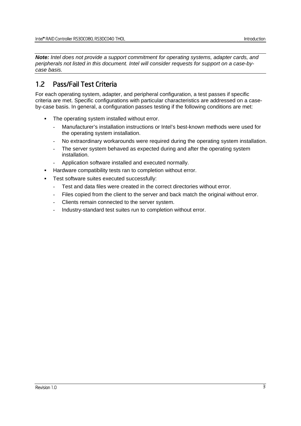*Note: Intel does not provide a support commitment for operating systems, adapter cards, and peripherals not listed in this document. Intel will consider requests for support on a case-bycase basis.* 

## 1.2 Pass/Fail Test Criteria

For each operating system, adapter, and peripheral configuration, a test passes if specific criteria are met. Specific configurations with particular characteristics are addressed on a caseby-case basis. In general, a configuration passes testing if the following conditions are met:

- The operating system installed without error.
	- Manufacturer's installation instructions or Intel's best-known methods were used for the operating system installation.
	- No extraordinary workarounds were required during the operating system installation.
	- The server system behaved as expected during and after the operating system installation.
	- Application software installed and executed normally.
- Hardware compatibility tests ran to completion without error.
- Test software suites executed successfully:
	- Test and data files were created in the correct directories without error.
	- Files copied from the client to the server and back match the original without error.
	- Clients remain connected to the server system.
	- Industry-standard test suites run to completion without error.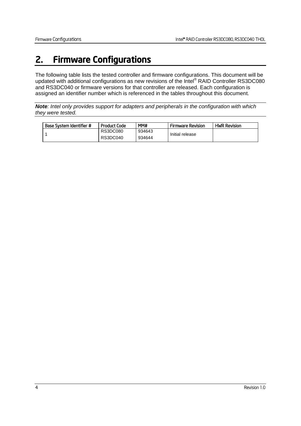## 2. Firmware Configurations

The following table lists the tested controller and firmware configurations. This document will be updated with additional configurations as new revisions of the Intel® RAID Controller RS3DC080 and RS3DC040 or firmware versions for that controller are released. Each configuration is assigned an identifier number which is referenced in the tables throughout this document.

*Note: Intel only provides support for adapters and peripherals in the configuration with which they were tested.* 

| Base System Identifier # | <b>Product Code</b> | MM#    | <b>Firmware Revision</b> | <b>HWR Revision</b> |
|--------------------------|---------------------|--------|--------------------------|---------------------|
|                          | <b>RS3DC080</b>     | 934643 |                          |                     |
|                          | RS3DC040            | 934644 | Initial release          |                     |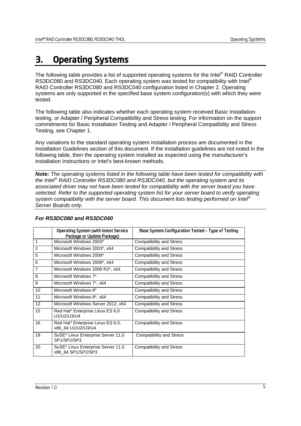## 3. Operating Systems

The following table provides a list of supported operating systems for the Intel<sup>®</sup> RAID Controller RS3DC080 and RS3DC040. Each operating system was tested for compatibility with Intel® RAID Controller RS3DC080 and RS3DC040 configuration listed in Chapter 2. Operating systems are only supported in the specified base system configuration(s) with which they were tested.

The following table also indicates whether each operating system received Basic Installation testing, or Adapter / Peripheral Compatibility and Stress testing. For information on the support commitments for Basic Installation Testing and Adapter / Peripheral Compatibility and Stress Testing, see Chapter 1.

Any variations to the standard operating system installation process are documented in the Installation Guidelines section of this document. If the installation guidelines are not noted in the following table, then the operating system installed as expected using the manufacturer's installation instructions or Intel's best-known methods.

*Note: The operating systems listed in the following table have been tested for compatibility with the Intel® RAID Controller RS3DC080 and RS3DC040, but the operating system and its associated driver may not have been tested for compatibility with the server board you have selected. Refer to the supported operating system list for your server board to verify operating system compatibility with the server board. This document lists testing performed on Intel® Server Boards only.* 

|              | Operating System (with latest Service<br>Package or Update Package) | Base System Configuration Tested - Type of Testing |
|--------------|---------------------------------------------------------------------|----------------------------------------------------|
| $\mathbf{1}$ | Microsoft Windows 2003*                                             | <b>Compatibility and Stress</b>                    |
| 2            | Microsoft Windows 2003*, x64                                        | <b>Compatibility and Stress</b>                    |
| 5            | Microsoft Windows 2008*                                             | <b>Compatibility and Stress</b>                    |
| 6            | Microsoft Windows 2008*, x64                                        | <b>Compatibility and Stress</b>                    |
| 7            | Microsoft Windows 2008 R2*, x64                                     | <b>Compatibility and Stress</b>                    |
| 8            | Microsoft Windows 7*                                                | <b>Compatibility and Stress</b>                    |
| 9            | Microsoft Windows 7*, x64                                           | <b>Compatibility and Stress</b>                    |
| 10           | Microsoft Windows 8*                                                | <b>Compatibility and Stress</b>                    |
| 11           | Microsoft Windows 8*, x64                                           | <b>Compatibility and Stress</b>                    |
| 12           | Microsoft Windows Server 2012, x64                                  | <b>Compatibility and Stress</b>                    |
| 15           | Red Hat* Enterprise Linux ES 6.0<br>U1/U2/U3/U4                     | <b>Compatibility and Stress</b>                    |
| 16           | Red Hat* Enterprise Linux ES 6.0,<br>x86 64 U1/U2/U3/U4             | <b>Compatibility and Stress</b>                    |
| 19           | SuSE* Linux Enterprise Server 11.0<br>SP1/SP2/SP3                   | <b>Compatibility and Stress</b>                    |
| 20           | SuSE* Linux Enterprise Server 11.0<br>x86 64 SP1/SP2/SP3            | <b>Compatibility and Stress</b>                    |

#### *For RS3DC080 and RS3DC040*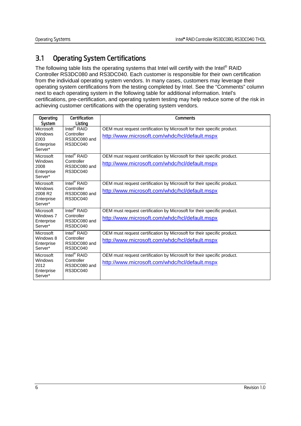## 3.1 Operating System Certifications

The following table lists the operating systems that Intel will certify with the Intel® RAID Controller RS3DC080 and RS3DC040. Each customer is responsible for their own certification from the individual operating system vendors. In many cases, customers may leverage their operating system certifications from the testing completed by Intel. See the "Comments" column next to each operating system in the following table for additional information. Intel's certifications, pre-certification, and operating system testing may help reduce some of the risk in achieving customer certifications with the operating system vendors.

| Operating<br>System                                                  | Certification<br>Listing                                          | Comments                                                                                                                  |
|----------------------------------------------------------------------|-------------------------------------------------------------------|---------------------------------------------------------------------------------------------------------------------------|
| Microsoft<br>Windows<br>2003<br>Enterprise<br>Server*                | Intel <sup>®</sup> RAID<br>Controller<br>RS3DC080 and<br>RS3DC040 | OEM must request certification by Microsoft for their specific product.<br>http://www.microsoft.com/whdc/hcl/default.mspx |
| Microsoft<br>Windows<br>2008<br>Enterprise<br>Server*                | Intel <sup>®</sup> RAID<br>Controller<br>RS3DC080 and<br>RS3DC040 | OEM must request certification by Microsoft for their specific product.<br>http://www.microsoft.com/whdc/hcl/default.mspx |
| Microsoft<br>Windows<br>2008 R <sub>2</sub><br>Enterprise<br>Server* | Intel <sup>®</sup> RAID<br>Controller<br>RS3DC080 and<br>RS3DC040 | OEM must request certification by Microsoft for their specific product.<br>http://www.microsoft.com/whdc/hcl/default.mspx |
| Microsoft<br>Windows 7<br>Enterprise<br>Server*                      | Intel <sup>®</sup> RAID<br>Controller<br>RS3DC080 and<br>RS3DC040 | OEM must request certification by Microsoft for their specific product.<br>http://www.microsoft.com/whdc/hcl/default.mspx |
| Microsoft<br>Windows 8<br>Enterprise<br>Server*                      | Intel <sup>®</sup> RAID<br>Controller<br>RS3DC080 and<br>RS3DC040 | OEM must request certification by Microsoft for their specific product.<br>http://www.microsoft.com/whdc/hcl/default.mspx |
| Microsoft<br>Windows<br>2012<br>Enterprise<br>Server*                | Intel <sup>®</sup> RAID<br>Controller<br>RS3DC080 and<br>RS3DC040 | OEM must request certification by Microsoft for their specific product.<br>http://www.microsoft.com/whdc/hcl/default.mspx |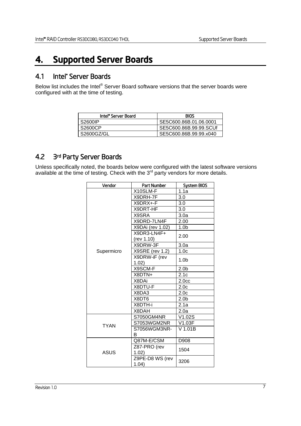## 4. Supported Server Boards

## 4.1 Intel® Server Boards

Below list includes the Intel® Server Board software versions that the server boards were configured with at the time of testing.

| Intel <sup>•</sup> Server Board | <b>BIOS</b>            |
|---------------------------------|------------------------|
| S2600IP                         | SE5C600.86B.01.06.0001 |
| S2600CP                         | SE5C600.86B.99.99.SCUf |
| S2600GZ/GL                      | SE5C600.86B.99.99.x040 |

## 4.2 3rd Party Server Boards

Unless specifically noted, the boards below were configured with the latest software versions available at the time of testing. Check with the  $3<sup>rd</sup>$  party vendors for more details.

| Vendor      | Part Number               | <b>System BIOS</b> |
|-------------|---------------------------|--------------------|
|             | X10SLM-F                  | 1.1a               |
|             | X9DRH-7F                  | 3.0                |
|             | X9DRX+-F                  | 3.0                |
|             | X9DRT-HF                  | 3.0                |
|             | X9SRA                     | 3.0a               |
|             | X9DRD-7LN4F               | 2.00               |
|             | X9DAi (rev 1.02)          | 1.0 <sub>b</sub>   |
|             | X9DR3-LN4F+<br>(rev 1.10) | 2.00               |
|             | X9DRW-3F                  | 3.0a               |
| Supermicro  | X9SRE (rev 1.2)           | 1.0 <sub>c</sub>   |
|             | X9DRW-iF (rev<br>1.02)    | 1.0 <sub>b</sub>   |
|             | X9SCM-F                   | 2.0 <sub>b</sub>   |
|             | X8DTN+                    | 2.1c               |
|             | X8DAi                     | 2.0 <sub>cc</sub>  |
|             | X8DTU-F                   | 2.0 <sub>c</sub>   |
|             | X8DA3                     | 2.0 <sub>c</sub>   |
|             | X8DT6                     | 2.0 <sub>b</sub>   |
|             | X8DTH-i                   | 2.1a               |
|             | X8DAH                     | 2.0a               |
|             | S7050GM4NR                | V1.02S             |
| <b>TYAN</b> | S7053WGM2NR               | V1.03F             |
|             | S7056WGM3NR-<br>B         | $V$ 1.01B          |
|             | Q87M-E/CSM                | D908               |
| ASUS        | Z87-PRO (rev<br>1.02)     | 1504               |
|             | Z9PE-D8 WS (rev<br>1.04)  | 3206               |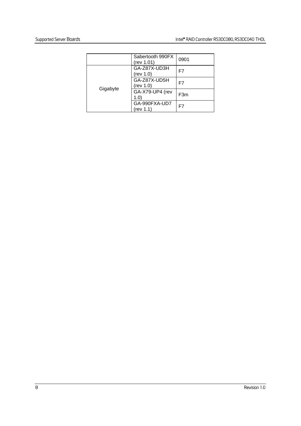|          | Sabertooth 990FX<br>(rev 1.01) | 0901 |
|----------|--------------------------------|------|
|          | GA-Z87X-UD3H<br>(rev 1.0)      | F7   |
|          | GA-Z87X-UD5H<br>(rev 1.0)      | F7   |
| Gigabyte | GA-X79-UP4 (rev<br>1.0         | F3m  |
|          | GA-990FXA-UD7<br>(rev 1.1)     | F7   |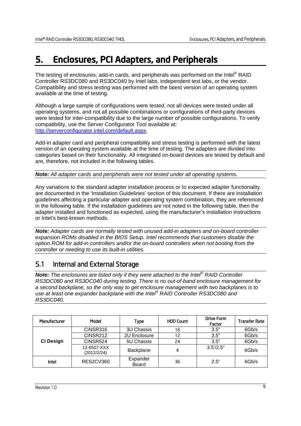## 5. Enclosures, PCI Adapters, and Peripherals

The testing of enclosures, add-in cards, and peripherals was performed on the Intel<sup>®</sup> RAID Controller RS3DC080 and RS3DC040 by Intel labs, independent test labs, or the vendor. Compatibility and stress testing was performed with the latest version of an operating system available at the time of testing.

Although a large sample of configurations were tested, not all devices were tested under all operating systems, and not all possible combinations or configurations of third-party devices were tested for inter-compatibility due to the large number of possible configurations. To verify compatibility, use the Server Configurator Tool available at: http://serverconfigurator.intel.com/default.aspx.

Add-in adapter card and peripheral compatibility and stress testing is performed with the latest version of an operating system available at the time of testing. The adapters are divided into categories based on their functionality. All integrated on-board devices are tested by default and are, therefore, not included in the following tables.

*Note: All adapter cards and peripherals were not tested under all operating systems.* 

Any variations to the standard adapter installation process or to expected adapter functionality are documented in the 'Installation Guidelines' section of this document. If there are installation guidelines affecting a particular adapter and operating system combination, they are referenced in the following table. If the installation guidelines are not noted in the following table, then the adapter installed and functioned as expected, using the manufacturer's installation instructions or Intel's best-known methods.

*Note: Adapter cards are normally tested with unused add-in adapters and on-board controller expansion ROMs disabled in the BIOS Setup. Intel recommends that customers disable the option ROM for add-in controllers and/or the on-board controllers when not booting from the controller or needing to use its built-in utilities.* 

## 5.1 Internal and External Storage

*Note: The enclosures are listed only if they were attached to the Intel® RAID Controller RS3DC080 and RS3DC040 during testing. There is no out-of-band enclosure management for a second backplane, so the only way to get enclosure management with two backplanes is to use at least one expander backplane with the Intel® RAID Controller RS3DC080 and RS3DC040.* 

| Manufacturer | Model                      | Type                     | <b>HDD Count</b> | Drive Form<br>Factor | <b>Transfer Rate</b> |
|--------------|----------------------------|--------------------------|------------------|----------------------|----------------------|
| Ci Design    | CINSR316                   | <b>3U Chassis</b>        | 16               | 3.5"                 | 6Gb/s                |
|              | CiNSR212                   | 2U Enclosure             | 12               | 3.5"                 | 6Gb/s                |
|              | CiNSR524                   | 5U Chassis               | 24               | 3.5"                 | 6Gb/s                |
|              | 12-6507-XXX<br>(2012/2/24) | Backplane                | 4                | 3.5'/2.5"            | 6Gb/s                |
| Intel        | RES2CV360                  | Expander<br><b>Board</b> | 36               | 2.5"                 | 6Gb/s                |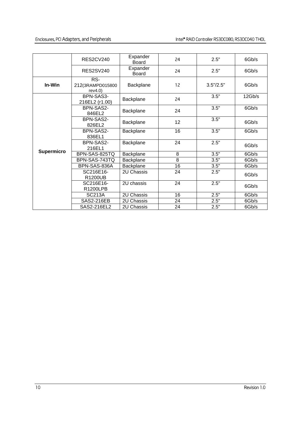#### Enclosures, PCI Adapters, and Peripherals Intel® RAID Controller RS3DC080, RS3DC040 THOL

|                   | <b>RES2CV240</b>                  | Expander<br><b>Board</b> | 24             | 2.5"        | 6Gb/s  |
|-------------------|-----------------------------------|--------------------------|----------------|-------------|--------|
|                   | <b>RES2SV240</b>                  | Expander<br><b>Board</b> | 24             | 2.5"        | 6Gb/s  |
| In-Win            | RS-<br>212(3RAMPD015800<br>rev4.0 | Backplane                | 12             | 3.5''/2.5'' | 6Gb/s  |
|                   | BPN-SAS3-<br>216EL2 (r1.00)       | Backplane                | 24             | 3.5"        | 12Gb/s |
|                   | BPN-SAS2-<br>846EL2               | Backplane                | 24             | 3.5"        | 6Gb/s  |
|                   | BPN-SAS2-<br>Backplane<br>826EL2  |                          | 12             | 3.5"        | 6Gb/s  |
|                   | BPN-SAS2-<br>836EL1               | Backplane                | 16             | 3.5"        | 6Gb/s  |
|                   | BPN-SAS2-<br>216EL1               | Backplane                | 24             | 2.5"        | 6Gb/s  |
| <b>Supermicro</b> | BPN-SAS-825TQ                     | Backplane                | 8              | 3.5"        | 6Gb/s  |
|                   | BPN-SAS-743TQ                     | Backplane                | $\overline{8}$ | 3.5"        | 6Gb/s  |
|                   | BPN-SAS-836A                      | Backplane                | 16             | 3.5"        | 6Gb/s  |
|                   | SC216E16-<br>R1200UB              | 2U Chassis               | 24             | 2.5"        | 6Gb/s  |
|                   | SC216E16-<br>R1200LPB             | 2U chassis               | 24             | 2.5"        | 6Gb/s  |
|                   | <b>SC213A</b>                     | 2U Chassis               | 16             | 2.5"        | 6Gb/s  |
|                   | SAS2-216EB                        | 2U Chassis               | 24             | 2.5"        | 6Gb/s  |
|                   | SAS2-216EL2                       | 2U Chassis               | 24             | 2.5"        | 6Gb/s  |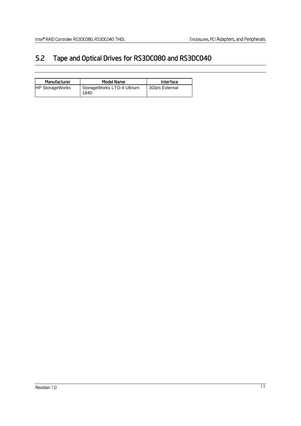## 5.2 Tape and Optical Drives for RS3DC080 and RS3DC040

| Manufacturer           | Model Name                         | Interface      |
|------------------------|------------------------------------|----------------|
| <b>HP StorageWorks</b> | StorageWorks LTO-4 Ultrium<br>1840 | 3Gb/s External |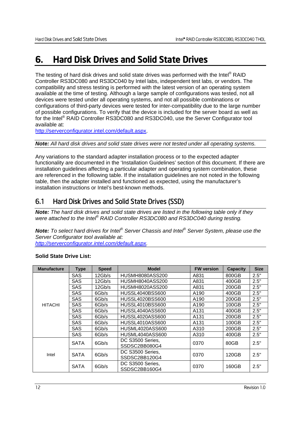## 6. Hard Disk Drives and Solid State Drives

The testing of hard disk drives and solid state drives was performed with the Intel<sup>®</sup> RAID Controller RS3DC080 and RS3DC040 by Intel labs, independent test labs, or vendors. The compatibility and stress testing is performed with the latest version of an operating system available at the time of testing. Although a large sample of configurations was tested, not all devices were tested under all operating systems, and not all possible combinations or configurations of third-party devices were tested for inter-compatibility due to the large number of possible configurations. To verify that the device is included for the server board as well as for the Intel® RAID Controller RS3DC080 and RS3DC040, use the Server Configurator tool available at:

http://serverconfigurator.intel.com/default.aspx.

#### *Note: All hard disk drives and solid state drives were not tested under all operating systems.*

Any variations to the standard adapter installation process or to the expected adapter functionality are documented in the 'Installation Guidelines' section of this document. If there are installation guidelines affecting a particular adapter and operating system combination, these are referenced in the following table. If the installation guidelines are not noted in the following table, then the adapter installed and functioned as expected, using the manufacturer's installation instructions or Intel's best-known methods.

## 6.1 Hard Disk Drives and Solid State Drives (SSD)

*Note: The hard disk drives and solid state drives are listed in the following table only if they were attached to the Intel® RAID Controller RS3DC080 and RS3DC040 during testing.* 

*Note: To select hard drives for Intel® Server Chassis and Intel® Server System, please use the Server Configurator tool available at:* 

*http://serverconfigurator.intel.com/default.aspx.* 

| <b>Manufacture</b> | <b>Type</b> | <b>Speed</b> | <b>Model</b>                      | <b>FW version</b> | <b>Capacity</b> | <b>Size</b> |
|--------------------|-------------|--------------|-----------------------------------|-------------------|-----------------|-------------|
|                    | <b>SAS</b>  | 12Gb/s       | HUSMH8080ASS200                   | A831              | 800GB           | 2.5"        |
|                    | <b>SAS</b>  | 12Gb/s       | HUSMH8040ASS200                   | A831              | 400GB           | 2.5"        |
|                    | <b>SAS</b>  | 12Gb/s       | HUSMH8020ASS200                   | A831              | 200GB           | 2.5"        |
|                    | <b>SAS</b>  | 6Gb/s        | HUSSL4040BSS600                   | A190              | 400GB           | 2.5"        |
|                    | <b>SAS</b>  | 6Gb/s        | <b>HUSSL4020BSS600</b>            | A190              | 200GB           | 2.5"        |
| <b>HITACHI</b>     | <b>SAS</b>  | 6Gb/s        | HUSSL4010BSS600                   | A190              | 100GB           | 2.5"        |
|                    | <b>SAS</b>  | 6Gb/s        | <b>HUSSL4040ASS600</b>            | A131              | 400GB           | 2.5"        |
|                    | <b>SAS</b>  | 6Gb/s        | HUSSL4020ASS600                   | A131              | 200GB           | 2.5"        |
|                    | <b>SAS</b>  | 6Gb/s        | HUSSL4010ASS600                   | A <sub>131</sub>  | 100GB           | 2.5"        |
|                    | <b>SAS</b>  | 6Gb/s        | HUSML4020ASS600                   | A310              | 200GB           | 2.5"        |
|                    | <b>SAS</b>  | 6Gb/s        | HUSML4040ASS600                   | A310              | 400GB           | 2.5"        |
| Intel              | <b>SATA</b> | 6Gb/s        | DC S3500 Series,<br>SSDSC2BB080G4 | 0370              | 80GB            | 2.5"        |
|                    | <b>SATA</b> | 6Gb/s        | DC S3500 Series,<br>SSDSC2BB120G4 | 0370              | 120GB           | 2.5"        |
|                    | <b>SATA</b> | 6Gb/s        | DC S3500 Series,<br>SSDSC2BB160G4 | 0370              | 160GB           | 2.5"        |

#### **Solid State Drive List:**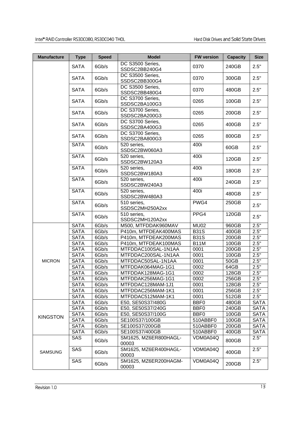| <b>Manufacture</b>                                 | <b>Type</b> | <b>Speed</b> | <b>Model</b>                      | <b>FW version</b> | <b>Capacity</b> | <b>Size</b> |
|----------------------------------------------------|-------------|--------------|-----------------------------------|-------------------|-----------------|-------------|
|                                                    | <b>SATA</b> | 6Gb/s        | DC S3500 Series,<br>SSDSC2BB240G4 | 0370              | 240GB           | 2.5"        |
|                                                    | <b>SATA</b> | 6Gb/s        | DC S3500 Series,<br>SSDSC2BB300G4 | 0370              | 300GB           | 2.5"        |
|                                                    | <b>SATA</b> | 6Gb/s        | DC S3500 Series,<br>SSDSC2BB480G4 | 0370              | 480GB           | 2.5"        |
|                                                    | <b>SATA</b> | 6Gb/s        | DC S3700 Series,<br>SSDSC2BA100G3 | 0265              | 100GB           | 2.5"        |
|                                                    | <b>SATA</b> | 6Gb/s        | DC S3700 Series,<br>SSDSC2BA200G3 | 0265              | 200GB           | 2.5"        |
|                                                    | <b>SATA</b> | 6Gb/s        | DC S3700 Series,<br>SSDSC2BA400G3 | 0265              | 400GB           | 2.5"        |
|                                                    | <b>SATA</b> | 6Gb/s        | DC S3700 Series,<br>SSDSC2BA800G3 | 0265              | 800GB           | 2.5"        |
|                                                    | <b>SATA</b> | 6Gb/s        | 520 series,<br>SSDSC2BW060A3      | 400i              | 60GB            | 2.5"        |
|                                                    | <b>SATA</b> | 6Gb/s        | 520 series,<br>SSDSC2BW120A3      | 400i              | 120GB           | 2.5"        |
|                                                    | <b>SATA</b> | 6Gb/s        | 520 series,<br>SSDSC2BW180A3      | 400i              | 180GB           | 2.5"        |
|                                                    | <b>SATA</b> | 6Gb/s        | 520 series,<br>SSDSC2BW240A3      | 400i              | 240GB           | 2.5"        |
|                                                    | <b>SATA</b> | 6Gb/s        | 520 series,<br>SSDSC2BW480A3      | 400i              | 480GB           | 2.5"        |
|                                                    | <b>SATA</b> | 6Gb/s        | 510 series,<br>SSDSC2MH250A2xx    | PWG4              | 250GB           | 2.5"        |
|                                                    | <b>SATA</b> | 6Gb/s        | 510 series,<br>SSDSC2MH120A2xx    | PPG4              | 120GB           | 2.5"        |
|                                                    | <b>SATA</b> | 6Gb/s        | M500, MTFDDAK960MAV               | <b>MU02</b>       | 960GB           | 2.5"        |
|                                                    | <b>SATA</b> | 6Gb/s        | P410m, MTFDEAK400MAS              | <b>B31S</b>       | 400GB           | 2.5"        |
| <b>MICRON</b><br><b>KINGSTON</b><br><b>SAMSUNG</b> | <b>SATA</b> | 6Gb/s        | P410m, MTFDEAK200MAS              | <b>B31S</b>       | 200GB           | 2.5"        |
|                                                    | <b>SATA</b> | 6Gb/s        | P410m, MTFDEAK100MAS              | <b>B11M</b>       | 100GB           | 2.5"        |
|                                                    | <b>SATA</b> | 6Gb/s        | MTFDDAC100SAL-1N1AA               | 0001              | 200GB           | 2.5"        |
|                                                    | <b>SATA</b> | 6Gb/s        | MTFDDAC200SAL-1N1AA               | 0001              | 100GB           | 2.5"        |
|                                                    | <b>SATA</b> | 6Gb/s        | MTFDDAC50SAL-1N1AA                | 0001              | 50GB            | 2.5"        |
|                                                    | <b>SATA</b> | 6Gb/s        | MTFDDAK064MAG-1G1                 | 0002              | 64GB            | 2.5"        |
|                                                    | <b>SATA</b> | 6Gb/s        | MTFDDAK128MAG-1G1                 | 0002              | 128GB           | 2.5"        |
|                                                    | <b>SATA</b> | 6Gb/s        | MTFDDAK256MAG-1G1                 | 0002              | 256GB           | 2.5"        |
|                                                    | <b>SATA</b> | 6Gb/s        | MTFDDAC128MAM-1J1                 | 0001              | 128GB           | 2.5"        |
|                                                    | <b>SATA</b> | 6Gb/s        | MTFDDAC256MAM-1K1                 | 0001              | 256GB           | 2.5"        |
|                                                    | <b>SATA</b> | 6Gb/s        | MTFDDAC512MAM-1K1                 | 0001              | 512GB           | 2.5"        |
|                                                    | <b>SATA</b> | 6Gb/s        | E50, SE50S37/480G                 | BBF0              | 480GB           | <b>SATA</b> |
|                                                    | <b>SATA</b> | 6Gb/s        | E50, SE50S37/240G                 | BBF <sub>0</sub>  | 240GB           | <b>SATA</b> |
|                                                    | <b>SATA</b> | 6Gb/s        | E50, SE50S37/100G                 | BBF <sub>0</sub>  | 100GB           | <b>SATA</b> |
|                                                    | <b>SATA</b> | 6Gb/s        | SE100S37/100GB                    | 510ABBF0          | 100GB           | <b>SATA</b> |
|                                                    | <b>SATA</b> | 6Gb/s        | SE100S37/200GB                    | 510ABBF0          | 200GB           | <b>SATA</b> |
|                                                    | <b>SATA</b> | 6Gb/s        | SE100S37/400GB                    | 510ABBF0          | 400GB           | <b>SATA</b> |
|                                                    | SAS         | 6Gb/s        | SM1625, MZ6ER800HAGL-<br>00003    | VDM0A04Q          | 800GB           | 2.5"        |
|                                                    | SAS         | 6Gb/s        | SM1625, MZ6ER400HAGL-<br>00003    | VDM0A04Q          | 400GB           | 2.5"        |
|                                                    | SAS         | 6Gb/s        | SM1625, MZ6ER200HAGM-<br>00003    | VDM0A04Q          | 200GB           | 2.5"        |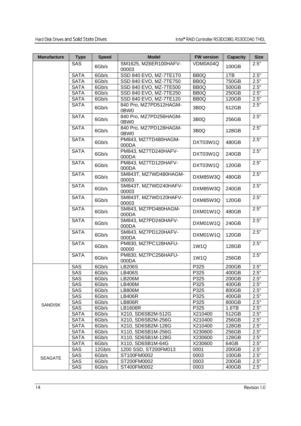| <b>Manufacture</b> | <b>Type</b> | <b>Speed</b> | <b>Model</b>                   | <b>FW version</b> | <b>Capacity</b>                                                                                                                                                                                                                                                                                                      | <b>Size</b> |
|--------------------|-------------|--------------|--------------------------------|-------------------|----------------------------------------------------------------------------------------------------------------------------------------------------------------------------------------------------------------------------------------------------------------------------------------------------------------------|-------------|
|                    | <b>SAS</b>  | 6Gb/s        | SM1625, MZ6ER100HAFV-<br>00003 | VDM0A04Q          | 100GB                                                                                                                                                                                                                                                                                                                | 2.5"        |
|                    | <b>SATA</b> | 6Gb/s        | SSD 840 EVO, MZ-7TE1T0         | BB <sub>0</sub> Q | 1TB<br>750GB<br>500GB<br>250GB<br>120GB<br>512GB<br>256GB<br>128GB<br>480GB<br>240GB<br>120GB<br>480GB<br>240GB<br>120GB<br>480GB<br>240GB<br>120GB<br>128GB<br>256GB<br>200GB<br>400GB<br>200GB<br>400GB<br>800GB<br>400GB<br>800GB<br>1.6TB<br>512GB<br>256GB<br>128GB<br>256GB<br>128GB<br>64GB<br>200GB<br>100GB | 2.5"        |
|                    | <b>SATA</b> | 6Gb/s        | SSD 840 EVO, MZ-7TE750         | BB <sub>0</sub> Q |                                                                                                                                                                                                                                                                                                                      | 2.5"        |
|                    | <b>SATA</b> | 6Gb/s        | SSD 840 EVO, MZ-7TE500         | BB <sub>0</sub> Q |                                                                                                                                                                                                                                                                                                                      | 2.5"        |
|                    | <b>SATA</b> | 6Gb/s        | SSD 840 EVO, MZ-7TE250         | BB <sub>0</sub> Q |                                                                                                                                                                                                                                                                                                                      | 2.5"        |
|                    | <b>SATA</b> | 6Gb/s        | SSD 840 EVO, MZ-7TE120         | BB <sub>0</sub> Q |                                                                                                                                                                                                                                                                                                                      | 2.5"        |
|                    | <b>SATA</b> | 6Gb/s        | 840 Pro, MZ7PD512HAGM-<br>0BW0 | 3B <sub>0</sub> Q |                                                                                                                                                                                                                                                                                                                      | 2.5"        |
|                    | <b>SATA</b> | 6Gb/s        | 840 Pro, MZ7PD256HAGM-<br>0BW0 | 3B <sub>0</sub> Q |                                                                                                                                                                                                                                                                                                                      | 2.5"        |
|                    | <b>SATA</b> | 6Gb/s        | 840 Pro, MZ7PD128HAGM-<br>0BW0 | 3B <sub>0</sub> Q |                                                                                                                                                                                                                                                                                                                      | 2.5"        |
|                    | <b>SATA</b> | 6Gb/s        | PM843, MZ7TD480HAGM-<br>000DA  | DXT03W1Q          |                                                                                                                                                                                                                                                                                                                      | 2.5"        |
|                    | <b>SATA</b> | 6Gb/s        | PM843, MZ7TD240HAFV-<br>000DA  | DXT03W1Q          |                                                                                                                                                                                                                                                                                                                      | 2.5"        |
|                    | <b>SATA</b> | 6Gb/s        | PM843, MZ7TD120HAFV-<br>000DA  | DXT03W1Q          |                                                                                                                                                                                                                                                                                                                      | 2.5"        |
|                    | <b>SATA</b> | 6Gb/s        | SM843T, MZ7WD480HAGM-<br>00003 | DXM85W3Q          |                                                                                                                                                                                                                                                                                                                      | 2.5"        |
|                    | <b>SATA</b> | 6Gb/s        | SM843T, MZ7WD240HAFV-<br>00003 | DXM85W3Q          |                                                                                                                                                                                                                                                                                                                      | 2.5"        |
|                    | <b>SATA</b> | 6Gb/s        | SM843T, MZ7WD120HAFV-<br>00003 | DXM85W3Q          |                                                                                                                                                                                                                                                                                                                      | 2.5"        |
|                    | <b>SATA</b> | 6Gb/s        | SM843, MZ7PD480HAGM-<br>000DA  | DXM01W1Q          |                                                                                                                                                                                                                                                                                                                      | 2.5"        |
|                    | <b>SATA</b> | 6Gb/s        | SM843, MZ7PD240HAFV-<br>000DA  | DXM01W1Q          |                                                                                                                                                                                                                                                                                                                      | 2.5"        |
|                    | <b>SATA</b> | 6Gb/s        | SM843, MZ7PD120HAFV-<br>000DA  | DXM01W1Q          |                                                                                                                                                                                                                                                                                                                      | 2.5"        |
|                    | <b>SATA</b> | 6Gb/s        | PM830, MZ7PC128HAFU-<br>00000  | 1W1Q              |                                                                                                                                                                                                                                                                                                                      | 2.5"        |
|                    | <b>SATA</b> | 6Gb/s        | PM830, MZ7PC256HAFU-<br>000DA  | 1W1Q              |                                                                                                                                                                                                                                                                                                                      | 2.5"        |
|                    | <b>SAS</b>  | 6Gb/s        | <b>LB206S</b>                  | P325              |                                                                                                                                                                                                                                                                                                                      | 2.5"        |
|                    | <b>SAS</b>  | 6Gb/s        | <b>LB406S</b>                  | P325              |                                                                                                                                                                                                                                                                                                                      | 2.5"        |
|                    | SAS         | 6Gb/s        | <b>LB206M</b>                  | P325              |                                                                                                                                                                                                                                                                                                                      | 2.5"        |
|                    | SAS         | 6Gb/s        | LB406M                         | P325              |                                                                                                                                                                                                                                                                                                                      | 2.5"        |
|                    | SAS         | 6Gb/s        | <b>LB806M</b>                  | P325              |                                                                                                                                                                                                                                                                                                                      | 2.5"        |
|                    | SAS         | 6Gb/s        | <b>LB406R</b>                  | P325              |                                                                                                                                                                                                                                                                                                                      | 2.5"        |
|                    | SAS         | 6Gb/s        | LB806R                         | P325              |                                                                                                                                                                                                                                                                                                                      | 2.5"        |
|                    | SAS         | 6Gb/s        | LB1606R                        | P325              |                                                                                                                                                                                                                                                                                                                      | 2.5"        |
|                    | <b>SATA</b> | 6Gb/s        | X210, SD6SB2M-512G             | X210400           |                                                                                                                                                                                                                                                                                                                      | 2.5"        |
| <b>SANDISK</b>     | <b>SATA</b> | 6Gb/s        | X210, SD6SB2M-256G             | X210400           |                                                                                                                                                                                                                                                                                                                      | 2.5"        |
|                    | <b>SATA</b> | 6Gb/s        | X210, SD6SB2M-128G             | X210400           |                                                                                                                                                                                                                                                                                                                      | 2.5"        |
|                    | <b>SATA</b> | 6Gb/s        | X110, SD6SB1M-256G             | X230600           |                                                                                                                                                                                                                                                                                                                      | 2.5"        |
|                    | <b>SATA</b> | 6Gb/s        | X110, SD6SB1M-128G             | X230600           |                                                                                                                                                                                                                                                                                                                      | 2.5"        |
|                    | <b>SATA</b> | 6Gb/s        | X110, SD6SB1M-64G              | X230600           |                                                                                                                                                                                                                                                                                                                      | 2.5"        |
|                    | SAS         | 12Gb/s       | 1200 SSD, ST200FM013           | 0001              |                                                                                                                                                                                                                                                                                                                      | 2.5"        |
| <b>SEAGATE</b>     | SAS         | 6Gb/s        | ST100FM0002                    | 0003              |                                                                                                                                                                                                                                                                                                                      | 2.5"        |
|                    | SAS         | 6Gb/s        | ST200FM0002                    | 0003              | 200GB                                                                                                                                                                                                                                                                                                                | 2.5"        |
|                    | SAS         | 6Gb/s        | ST400FM0002                    | 0003              | 400GB                                                                                                                                                                                                                                                                                                                | 2.5"        |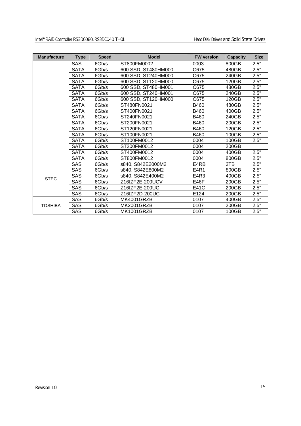| <b>Manufacture</b> | <b>Type</b> | <b>Speed</b> | <b>Model</b>            | <b>FW version</b> | <b>Capacity</b> | <b>Size</b> |
|--------------------|-------------|--------------|-------------------------|-------------------|-----------------|-------------|
|                    | <b>SAS</b>  | 6Gb/s        | ST800FM0002             | 0003              | 800GB           | 2.5"        |
|                    | <b>SATA</b> | 6Gb/s        | 600 SSD, ST480HM000     | C675              | 480GB           | 2.5"        |
|                    | <b>SATA</b> | 6Gb/s        | 600 SSD, ST240HM000     | C675              | 240GB           | 2.5"        |
|                    | <b>SATA</b> | 6Gb/s        | 600 SSD, ST120HM000     | C675              | 120GB           | 2.5"        |
|                    | <b>SATA</b> | 6Gb/s        | 600 SSD, ST480HM001     | C675              | 480GB           | 2.5"        |
|                    | <b>SATA</b> | 6Gb/s        | 600 SSD, ST240HM001     | C675              | 240GB           | 2.5"        |
|                    | SATA        | 6Gb/s        | 600 SSD, ST120HM000     | C675              | 120GB           | 2.5"        |
|                    | <b>SATA</b> | 6Gb/s        | ST480FN0021             | B460              | 480GB           | 2.5"        |
|                    | <b>SATA</b> | 6Gb/s        | ST400FN0021             | B460              | 400GB           | 2.5"        |
|                    | <b>SATA</b> | 6Gb/s        | ST240FN0021             | B460              | 240GB           | 2.5"        |
|                    | <b>SATA</b> | 6Gb/s        | ST200FN0021             | B460              | 200GB           | 2.5"        |
|                    | <b>SATA</b> | 6Gb/s        | ST120FN0021             | B460              | 120GB           | 2.5"        |
|                    | <b>SATA</b> | 6Gb/s        | ST100FN0021             | B460              | 100GB           | 2.5"        |
|                    | <b>SATA</b> | 6Gb/s        | ST100FM0012             | 0004              | 100GB           | 2.5"        |
|                    | <b>SATA</b> | 6Gb/s        | ST200FM0012             | 0004              | 200GB           |             |
|                    | <b>SATA</b> | 6Gb/s        | ST400FM0012             | 0004              | 400GB           | 2.5"        |
|                    | <b>SATA</b> | 6Gb/s        | ST800FM0012             | 0004              | 800GB           | 2.5"        |
|                    | <b>SAS</b>  | 6Gb/s        | s840, S842E2000M2       | E4RB              | 2TB             | 2.5"        |
|                    | <b>SAS</b>  | 6Gb/s        | s840, S842E800M2        | E4R1              | 800GB           | 2.5"        |
|                    | <b>SAS</b>  | 6Gb/s        | s840. S842E400M2        | E4R3              | 400GB           | 2.5"        |
| <b>STEC</b>        | <b>SAS</b>  | 6Gb/s        | Z16IZF2E-200UCV<br>E46F |                   | 200GB           | 2.5"        |
|                    | SAS         | 6Gb/s        | Z16IZF2E-200UC          | E41C              | 200GB           | 2.5"        |
|                    | <b>SAS</b>  | 6Gb/s        | Z16IZF2D-200UC          | E124              | 200GB           | 2.5"        |
|                    | <b>SAS</b>  | 6Gb/s        | MK4001GRZB              | 0107              | 400GB           | 2.5"        |
| <b>TOSHIBA</b>     | <b>SAS</b>  | 6Gb/s        | MK2001GRZB              | 0107              | 200GB           | 2.5"        |
|                    | <b>SAS</b>  | 6Gb/s        | MK1001GRZB              | 0107              | 100GB           | 2.5"        |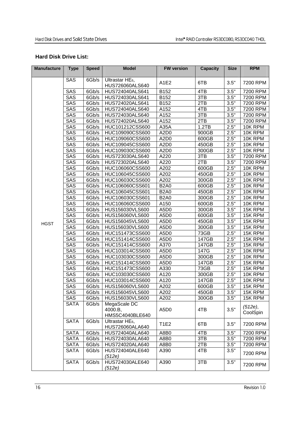#### **Hard Disk Drive List:**

| <b>Manufacture</b> | <b>Type</b> | <b>Speed</b> | <b>Model</b>                                   | <b>FW version</b>             | <b>Capacity</b> | <b>Size</b> | <b>RPM</b> |
|--------------------|-------------|--------------|------------------------------------------------|-------------------------------|-----------------|-------------|------------|
|                    |             |              |                                                |                               |                 |             |            |
|                    | SAS         | 6Gb/s        | Ultrastar HE <sub>6</sub> ,<br>HUS726060ALS640 | A1E2                          | 6TB             | 3.5"        | 7200 RPM   |
|                    | SAS         | 66b/s        | HUS724040ALS641                                | B152                          | 4TB             | 3.5"        | 7200 RPM   |
|                    | <b>SAS</b>  | 6Gb/s        | HUS724030ALS641                                | B152                          | 3TB             | 3.5"        | 7200 RPM   |
|                    | <b>SAS</b>  | 6Gb/s        | HUS724020ALS641                                | B152                          | 2TB             | 3.5"        | 7200 RPM   |
|                    | SAS         | 6Gb/s        | HUS724040ALS640                                | A152                          | 4TB             | 3.5"        | 7200 RPM   |
|                    | SAS         | 6Gb/s        | HUS724030ALS640                                | A152                          | 3TB             | 3.5"        | 7200 RPM   |
|                    | SAS         | 6Gb/s        | HUS724020ALS640                                | A152                          | 2TB             | 3.5"        | 7200 RPM   |
|                    | SAS         | 6Gb/s        | HUC101212CSS600                                | A35A                          | 1.2TB           | 2.5"        | 10K RPM    |
|                    | <b>SAS</b>  | 6Gb/s        | HUC109090CSS600                                | A <sub>2</sub> D <sub>0</sub> | 900GB           | 2.5"        | 10K RPM    |
|                    | SAS         | 6Gb/s        | HUC109060CSS600                                | A <sub>2</sub> D <sub>0</sub> | 600GB           | 2.5"        | 10K RPM    |
|                    | SAS         | 6Gb/s        | HUC109045CSS600                                | A2D <sub>0</sub>              | 450GB           | 2.5"        | 10K RPM    |
|                    | SAS         | 6Gb/s        | HUC109030CSS600                                | A <sub>2</sub> D <sub>0</sub> | 300GB           | 2.5"        | 10K RPM    |
|                    | <b>SAS</b>  | 6Gb/s        | HUS723030ALS640                                | A220                          | 3TB             | 3.5"        | 7200 RPM   |
|                    | <b>SAS</b>  | 6Gb/s        | HUS723020ALS640                                | A220                          | 2TB             | 3.5"        | 7200 RPM   |
|                    | SAS         | 6Gb/s        | HUC106060CSS600                                | A202                          | 600GB           | 2.5"        | 10K RPM    |
|                    | <b>SAS</b>  | 6Gb/s        | HUC106045CSS600                                | A202                          | 450GB           | 2.5"        | 10K RPM    |
|                    | SAS         | 6Gb/s        | HUC106030CSS600                                | A202                          | 300GB           | 2.5"        | 10K RPM    |
|                    | SAS         | 6Gb/s        | HUC106060CSS601                                | <b>B2A0</b>                   | 600GB           | 2.5"        | 10K RPM    |
|                    | SAS         | 6Gb/s        | HUC106045CSS601                                | <b>B2A0</b>                   | 450GB           | 2.5"        | 10K RPM    |
|                    | SAS         | 6Gb/s        | HUC106030CSS601                                | <b>B2A0</b>                   | 300GB           | 2.5"        | 10K RPM    |
|                    | SAS         | 6Gb/s        | HUC106060CSS600                                | A150                          | 600GB           | 2.5"        | 10K RPM    |
|                    | SAS         | 6Gb/s        | HUS156030VLS600                                | A5D <sub>0</sub>              | 300GB           | 3.5"        | 15K RPM    |
|                    | SAS         | 6Gb/s        | HUS156060VLS600                                | A5D <sub>0</sub>              | 600GB           | 3.5"        | 15K RPM    |
| <b>HGST</b>        | SAS         | 6Gb/s        | HUS156045VLS600                                | A5D <sub>0</sub>              | 450GB           | 3.5"        | 15K RPM    |
|                    | SAS         | 6Gb/s        | HUS156030VLS600                                | A5D <sub>0</sub>              | 300GB           | 3.5"        | 15K RPM    |
|                    | SAS         | 6Gb/s        | HUC151473CSS600                                | A5D <sub>0</sub>              | 73GB            | 2.5"        | 15K RPM    |
|                    | SAS         | 6Gb/s        | HUC151414CSS600                                | A5D <sub>0</sub>              | 147GB           | 2.5"        | 15K RPM    |
|                    | SAS         | 6Gb/s        | HUC151414CSS600                                | A370                          | 147GB           | 2.5"        | 15K RPM    |
|                    | SAS         | 6Gb/s        | HUC103014CSS600                                | A5D <sub>0</sub>              | 147G            | 2.5"        | 10K RPM    |
|                    | SAS         | 6Gb/s        | HUC103030CSS600                                | A5D <sub>0</sub>              | 300GB           | 2.5"        | 10K RPM    |
|                    | <b>SAS</b>  | 6Gb/s        | HUC151414CSS600                                | A5D <sub>0</sub>              | 147GB           | 2.5"        | 15K RPM    |
|                    | <b>SAS</b>  | 6Gb/s        | HUC151473CSS600                                | A330                          | 73GB            | 2.5"        | 15K RPM    |
|                    | SAS         | 6Gb/s        | HUC103030CSS600                                | A120                          | 300GB           | 2.5"        | 10K RPM    |
|                    | SAS         | 6Gb/s        | HUC103014CSS600                                | A120                          | 147GB           | 2.5"        | 10K RPM    |
|                    | <b>SAS</b>  | 6Gb/s        | HUS156060VLS600                                | A202                          | 600GB           | 3.5"        | 15K RPM    |
|                    | <b>SAS</b>  |              | 6Gb/s HUS156045VLS600                          | A202                          | 450GB           | 3.5"        | 15K RPM    |
|                    | SAS         | 6Gb/s        | HUS156030VLS600                                | A202                          | 300GB           | 3.5"        | 15K RPM    |
|                    | <b>SATA</b> | 6Gb/s        | MegaScale DC                                   |                               |                 |             | $(512e)$ , |
|                    |             |              | 4000.B,<br>HMS5C4040BLE640                     | A5D <sub>0</sub>              | 4TB             | 3.5"        | CoolSpin   |
|                    | <b>SATA</b> | 6Gb/s        |                                                |                               |                 |             |            |
|                    |             |              | Ultrastar HE <sub>6</sub> ,<br>HUS726060ALA640 | <b>T1E2</b>                   | 6TB             | 3.5"        | 7200 RPM   |
|                    | <b>SATA</b> | 6Gb/s        | HUS724040ALA640                                | A8B0                          | 4TB             | 3.5"        | 7200 RPM   |
|                    | <b>SATA</b> | 6Gb/s        | HUS724030ALA640                                | A8B0                          | 3TB             | 3.5"        | 7200 RPM   |
|                    | <b>SATA</b> | 6Gb/s        | HUS724020ALA640                                | A8B0                          | 2TB             | 3.5"        | 7200 RPM   |
|                    | <b>SATA</b> | 6Gb/s        | HUS724040ALE640<br>(512e)                      | A390                          | 4TB             | 3.5"        | 7200 RPM   |
|                    | <b>SATA</b> | 6Gb/s        | HUS724030ALE640<br>(512e)                      | A390                          | 3TB             | 3.5"        | 7200 RPM   |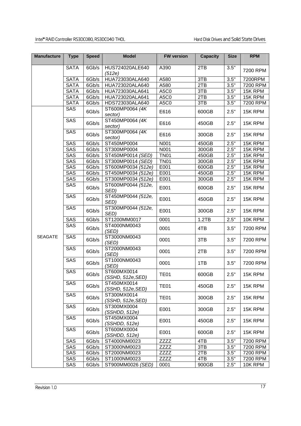#### Intel® RAID Controller RS3DC080, RS3DC040 THOL Hard Disk Drives and Solid State Drives

| <b>Manufacture</b> | <b>Type</b> | <b>Speed</b> | <b>Model</b>                     | <b>FW version</b> | <b>Capacity</b> | <b>Size</b> | <b>RPM</b> |
|--------------------|-------------|--------------|----------------------------------|-------------------|-----------------|-------------|------------|
|                    | <b>SATA</b> | 6Gb/s        | HUS724020ALE640<br>(512e)        | A390              | 2TB             | 3.5"        | 7200 RPM   |
|                    | <b>SATA</b> | 6Gb/s        | HUA723030ALA640                  | A580              | 3TB             | 3.5"        | 7200RPM    |
|                    | <b>SATA</b> | 6Gb/s        | HUA723020ALA640                  | A580              | 2TB             | 3.5"        | 7200 RPM   |
|                    | <b>SATA</b> | 6Gb/s        | HUA723030ALA641                  | A5C0              | 3TB             | 3.5"        | 15K RPM    |
|                    | <b>SATA</b> | 6Gb/s        | HUA723020ALA641                  | A5C0              | 2TB             | 3.5"        | 15K RPM    |
|                    | <b>SATA</b> | 6Gb/s        | HDS723030ALA640                  | A5C0              | 3TB             | 3.5"        | 7200 RPM   |
|                    | SAS         | 6Gb/s        | ST600MP0064 (4K)<br>sector)      | E616              | 600GB           | 2.5"        | 15K RPM    |
|                    | SAS         | 6Gb/s        | ST450MP0064 (4K)<br>sector)      | E616              | 450GB           | 2.5"        | 15K RPM    |
|                    | <b>SAS</b>  | 6Gb/s        | ST300MP0064 (4K)<br>sector)      | E616              | 300GB           | 2.5"        | 15K RPM    |
|                    | SAS         | 6Gb/s        | ST450MP0004                      | N001              | 450GB           | 2.5"        | 15K RPM    |
|                    | SAS         | 6Gb/s        | ST300MP0004                      | N001              | 300GB           | 2.5"        | 15K RPM    |
|                    | <b>SAS</b>  | 6Gb/s        | ST450MP0014 (SED)                | <b>TN01</b>       | 450GB           | 2.5"        | 15K RPM    |
|                    | SAS         | 6Gb/s        | ST300MP0014 (SED)                | <b>TN01</b>       | 300GB           | 2.5"        | 15K RPM    |
|                    | SAS         | 6Gb/s        | ST600MP0034 (512e)               | E001              | 600GB           | 2.5"        | 15K RPM    |
|                    | SAS         | 6Gb/s        | ST450MP0034 (512e)               | E001              | 450GB           | 2.5"        | 15K RPM    |
|                    | SAS         | 6Gb/s        | ST300MP0034 (512e)               | E001              | 300GB           | 2.5"        | 15K RPM    |
|                    | SAS         | 6Gb/s        | ST600MP0044 (512e,<br>SED)       | E001              | 600GB           | 2.5"        | 15K RPM    |
|                    | SAS         | 6Gb/s        | ST450MP0044 (512e,<br>SED)       | E001              | 450GB           | 2.5"        | 15K RPM    |
|                    | SAS         | 6Gb/s        | ST300MP0044 (512e,<br>SED)       | E001              | 300GB           | 2.5"        | 15K RPM    |
|                    | SAS         | 6Gb/s        | ST1200MM0017                     | 0001              | 1.2TB           | 2.5"        | 10K RPM    |
|                    | SAS         | 6Gb/s        | ST4000NM0043<br>(SED)            | 0001              | 4TB             | 3.5"        | 7200 RPM   |
| <b>SEAGATE</b>     | SAS         | 6Gb/s        | ST3000NM0043<br>(SED)            | 0001              | 3TB             | 3.5"        | 7200 RPM   |
|                    | SAS         | 6Gb/s        | ST2000NM0043<br>(SED)            | 0001              | 2TB             | 3.5"        | 7200 RPM   |
|                    | SAS         | 6Gb/s        | ST1000NM0043<br>(SED)            | 0001              | 1TB             | 3.5"        | 7200 RPM   |
|                    | SAS         | 6Gb/s        | ST600MX0014<br>(SSHD, 512e, SED) | <b>TE01</b>       | 600GB           | 2.5"        | 15K RPM    |
|                    | SAS         | 6Gb/s        | ST450MX0014<br>(SSHD, 512e, SED) | <b>TE01</b>       | 450GB           | 2.5"        | 15K RPM    |
|                    | SAS         | 6Gb/s        | ST300MX0014<br>(SSHD, 512e, SED) | TE01              | 300GB           | 2.5"        | 15K RPM    |
|                    | SAS         | 6Gb/s        | ST300MX0004<br>(SSHDD, 512e)     | E001              | 300GB           | 2.5"        | 15K RPM    |
|                    | SAS         | 6Gb/s        | ST450MX0004<br>(SSHDD, 512e)     | E001              | 450GB           | 2.5"        | 15K RPM    |
|                    | SAS         | 6Gb/s        | ST600MX0004<br>(SSHDD, 512e)     | E001              | 600GB           | 2.5"        | 15K RPM    |
|                    | SAS         | 6Gb/s        | ST4000NM0023                     | <b>ZZZZ</b>       | 4TB             | 3.5"        | 7200 RPM   |
|                    | SAS         | 6Gb/s        | ST3000NM0023                     | <b>ZZZZ</b>       | 3TB             | 3.5"        | 7200 RPM   |
|                    | SAS         | 6Gb/s        | ST2000NM0023                     | <b>ZZZZ</b>       | 2TB             | 3.5"        | 7200 RPM   |
|                    | SAS         | 6Gb/s        | ST1000NM0023                     | <b>ZZZZ</b>       | 4TB             | 3.5"        | 7200 RPM   |
|                    | SAS         | 6Gb/s        | ST900MM0026 (SED)                | 0001              | 900GB           | 2.5"        | 10K RPM    |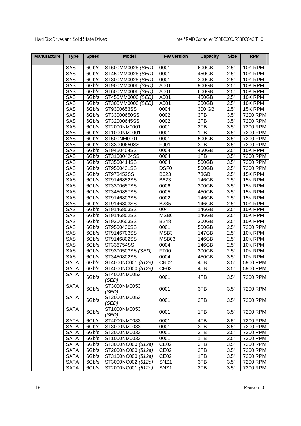| <b>Manufacture</b> | <b>Type</b> | <b>Speed</b> | <b>Model</b>                             | <b>FW</b> version | <b>Capacity</b>     | <b>Size</b>         | <b>RPM</b> |
|--------------------|-------------|--------------|------------------------------------------|-------------------|---------------------|---------------------|------------|
|                    | SAS         | 6Gb/s        | ST600MM0026 (SED)                        | 0001              | 600GB               | 2.5"                | 10K RPM    |
|                    | SAS         | 6Gb/s        | ST450MM0026 (SED)                        | 0001              | 450GB               | 2.5"                | 10K RPM    |
|                    | SAS         | 6Gb/s        | ST300MM0026 (SED)                        | 0001              | 300GB               | 2.5"                | 10K RPM    |
|                    | SAS         | 6Gb/s        | ST900MM0006 (SED)                        | A001              | 900GB               | 2.5"                | 10K RPM    |
|                    | SAS         | 6Gb/s        | ST600MM0006 (SED)                        | A001              | 600GB               | 2.5"                | 10K RPM    |
|                    | <b>SAS</b>  | 6Gb/s        | ST450MM0006 (SED)                        | A001              | 450GB               | 2.5"                | 10K RPM    |
|                    | SAS         | 6Gb/s        | ST300MM0006 (SED)                        | A001              | 300GB               | 2.5"                | 10K RPM    |
|                    | SAS         | 6Gb/s        | ST9300653SS                              | 0004              | 300 GB              | 2.5"                | 15K RPM    |
|                    | SAS         | 6Gb/s        | ST33000650SS                             | 0002              | 3TB                 | 3.5"                | 7200 RPM   |
|                    | <b>SAS</b>  | 6Gb/s        | ST32000645SS                             | 0002              | 2TB                 | 3.5"                | 7200 RPM   |
|                    | SAS         | 6Gb/s        | ST2000NM0001                             | 0001              | 2TB                 | 3.5"                | 7200 RPM   |
|                    | <b>SAS</b>  | 6Gb/s        | ST1000NM0001                             | 0001              | 1TB                 | 3.5"                | 7200 RPM   |
|                    | SAS         | 6Gb/s        | ST500NM0001                              | 0001              | 500GB               | 3.5"                | 7200 RPM   |
|                    | SAS         | 6Gb/s        | ST33000650SS                             | F901              | 3TB                 | 3.5"                | 7200 RPM   |
|                    | SAS         | 6Gb/s        | ST9450404SS                              | 0004              | 450GB               | 2.5"                | 10K RPM    |
|                    | SAS         | 6Gb/s        | ST31000424SS                             | 0004              | 1TB                 | 3.5"                | 7200 RPM   |
|                    | SAS         | 6Gb/s        | ST3500414SS                              | 0004              | 500GB               | 3.5"                | 7200 RPM   |
|                    | SAS         | 6Gb/s        | ST9500431SS                              | DSF <sub>0</sub>  | 500GB               | 2.5"                | 7200 RPM   |
|                    | SAS         | 6Gb/s        | ST973452SS                               | B623              | 73GB                | 2.5"                | 15K RPM    |
|                    | SAS         | 6Gb/s        | ST9146852SS                              | B623              | 146GB               | 2.5"                | 15K RPM    |
|                    | SAS         | 6Gb/s        | ST3300657SS                              | 0006              | 300GB               | 3.5"                | 15K RPM    |
|                    | SAS         | 6Gb/s        | ST3450857SS                              | 0005              | 450GB               | 3.5"                | 15K RPM    |
|                    | SAS         | 6Gb/s        | ST9146803SS                              | 0002              | 146GB               | 2.5"                | 15K RPM    |
|                    | SAS         | 6Gb/s        | ST9146803SS                              | B235              | 146GB               | 2.5"                | 10K RPM    |
|                    | SAS         | 6Gb/s        | ST9146803SS                              | 004               | 146GB               | 2.5"                | 10K RPM    |
|                    | SAS         | 6Gb/s        | ST9146802SS                              | MSB0              | $\overline{146}$ GB | 2.5"                | 10K RPM    |
|                    | SAS         | 6Gb/s        | ST9300603SS                              | <b>B248</b>       | 300GB               | $2.5^{\overline{}}$ | 10K RPM    |
|                    | SAS         | 6Gb/s        | ST9500430SS                              | 0001              | 500GB               | 2.5"                | 7200 RPM   |
|                    | SAS         | 6Gb/s        | ST9146703SS                              | MSB3              | 147GB               | 2.5"                | 10K RPM    |
|                    | <b>SAS</b>  | 6Gb/s        | ST9146802SS                              | MSB03             | 146GB               | 2.5"                | 10K RPM    |
|                    | SAS         | 6Gb/s        | ST336754SS                               | 0004              | 146GB               | 2.5"                | 10K RPM    |
|                    | SAS         | 6Gb/s        | ST9300503SS (SED)                        | FT00              | 300GB               | 2.5"                | 10K RPM    |
|                    | SAS         | 6Gb/s        | ST3450802SS                              | 0004              | 450GB               | 3.5"                | 10K RPM    |
|                    | <b>SATA</b> | 6Gb/s        |                                          | <b>CN02</b>       | 4TB                 | 3.5"                | 5900 RPM   |
|                    |             |              | ST4000NC001 (512e)<br>ST4000NC000 (512e) | CE <sub>02</sub>  | 4TB                 | 3.5"                | 5900 RPM   |
|                    | <b>SATA</b> | 6Gb/s        |                                          |                   |                     |                     |            |
|                    | <b>SATA</b> | 6Gb/s        | ST4000NM0053<br>(SED)                    | 0001              | 4TB                 | 3.5"                | 7200 RPM   |
|                    | <b>SATA</b> | 6Gb/s        | ST3000NM0053<br>(SED)                    | 0001              | 3TB                 | 3.5"                | 7200 RPM   |
|                    | <b>SATA</b> | 6Gb/s        | ST2000NM0053<br>(SED)                    | 0001              | 2TB                 | 3.5"                | 7200 RPM   |
|                    | <b>SATA</b> | 6Gb/s        | ST1000NM0053<br>(SED)                    | 0001              | 1TB                 | 3.5"                | 7200 RPM   |
|                    | <b>SATA</b> | 6Gb/s        | ST4000NM0033                             | 0001              | 4TB                 | 3.5"                | 7200 RPM   |
|                    | <b>SATA</b> | 6Gb/s        | ST3000NM0033                             | 0001              | 3TB                 | 3.5"                | 7200 RPM   |
|                    | <b>SATA</b> | 6Gb/s        | ST2000NM0033                             | 0001              | 2TB                 | 3.5"                | 7200 RPM   |
|                    | <b>SATA</b> | 6Gb/s        | ST1000NM0033                             | 0001              | 1TB                 | 3.5"                | 7200 RPM   |
|                    | <b>SATA</b> | 6Gb/s        | ST3000NC000 (512e)                       | CE <sub>02</sub>  | 3TB                 | 3.5"                | 7200 RPM   |
|                    | <b>SATA</b> | 6Gb/s        | ST2000NC000 (512e)                       | CE <sub>02</sub>  | 2TB                 | 3.5"                | 7200 RPM   |
|                    | <b>SATA</b> | 6Gb/s        | ST3100NC000 (512e)                       | CE <sub>02</sub>  | 1TB                 | 3.5"                | 7200 RPM   |
|                    | <b>SATA</b> | 6Gb/s        | ST3000NC002 (512e)                       | SNZ1              | 3TB                 | 3.5"                | 7200 RPM   |
|                    | <b>SATA</b> | 6Gb/s        | ST2000NC001 (512e)                       | SNZ1              | 2TB                 | 3.5"                | 7200 RPM   |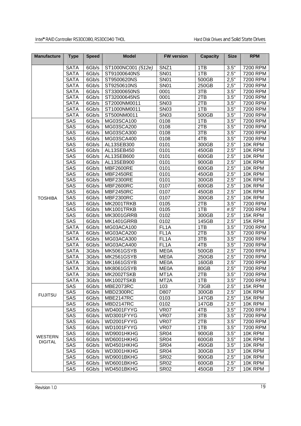| <b>Manufacture</b> | <b>Type</b> | <b>Speed</b> | <b>Model</b>       | <b>FW version</b> | <b>Capacity</b> | <b>Size</b> | <b>RPM</b> |
|--------------------|-------------|--------------|--------------------|-------------------|-----------------|-------------|------------|
|                    | <b>SATA</b> | 6Gb/s        | ST1000NC001 (512e) | SNZ <sub>1</sub>  | 1TB             | 3.5"        | 7200 RPM   |
|                    | <b>SATA</b> | 6Gb/s        | ST91000640NS       | <b>SN01</b>       | 1TB             | 2.5"        | 7200 RPM   |
|                    | <b>SATA</b> | 6Gb/s        | ST9500620NS        | <b>SN01</b>       | 500GB           | 2,5"        | 7200 RPM   |
|                    | <b>SATA</b> | 6Gb/s        | ST9250610NS        | <b>SN01</b>       | 250GB           | 2,5"        | 7200 RPM   |
|                    | <b>SATA</b> | 6Gb/s        | ST33000650NS       | 0001              | 3TB             | 3.5"        | 7200 RPM   |
|                    | <b>SATA</b> | 6Gb/s        | ST32000645NS       | 0001              | 2TB             | 3.5"        | 7200 RPM   |
|                    | <b>SATA</b> | 6Gb/s        | ST2000NM0011       | <b>SN03</b>       | 2TB             | 3.5"        | 7200 RPM   |
|                    | <b>SATA</b> | 6Gb/s        | ST1000NM0011       | <b>SN03</b>       | 1TB             | 3.5"        | 7200 RPM   |
|                    | <b>SATA</b> | 6Gb/s        | ST500NM0011        | <b>SN03</b>       | 500GB           | 3.5"        | 7200 RPM   |
|                    | SAS         | 6Gb/s        | MG03SCA100         | 0108              | 1TB             | 3.5"        | 7200 RPM   |
|                    | SAS         | 6Gb/s        | MG03SCA200         | 0108              | 2TB             | 3.5"        | 7200 RPM   |
|                    | <b>SAS</b>  | 6Gb/s        | MG03SCA300         | 0108              | 3TB             | 3.5"        | 7200 RPM   |
|                    | SAS         | 6Gb/s        | MG03SCA400         | 0108              | 4TB             | 3.5"        | 7200 RPM   |
|                    | SAS         | 6Gb/s        | AL13SEB300         | 0101              | 300GB           | 2.5"        | 10K RPM    |
|                    | SAS         | 6Gb/s        | AL13SEB450         | 0101              | 450GB           | 2.5"        | 10K RPM    |
|                    | SAS         | 6Gb/s        | AL13SEB600         | 0101              | 600GB           | 2.5"        | 10K RPM    |
|                    | SAS         | 6Gb/s        | AL13SEB900         | 0101              | 900GB           | 2.5"        | 10K RPM    |
|                    | SAS         | 6Gb/s        | <b>MBF2600RE</b>   | 0101              | 600GB           | 2.5"        | 10K RPM    |
|                    | SAS         | 6Gb/s        | <b>MBF2450RE</b>   | 0101              | 450GB           | 2.5"        | 10K RPM    |
|                    | SAS         | 6Gb/s        | <b>MBF2300RE</b>   | 0101              | 300GB           | 2.5"        | 10K RPM    |
|                    | SAS         | 6Gb/s        | <b>MBF2600RC</b>   | 0107              | 600GB           | 2.5"        | 10K RPM    |
|                    | SAS         | 6Gb/s        | <b>MBF2450RC</b>   | 0107              | 450GB           | 2.5"        | 10K RPM    |
| <b>TOSHIBA</b>     | SAS         | 6Gb/s        | <b>MBF2300RC</b>   | 0107              | 300GB           | 2.5"        | 10K RPM    |
|                    | SAS         | 6Gb/s        | MK2001TRKB         | 0105              | 2TB             | 3.5"        | 7200 RPM   |
|                    | SAS         | 6Gb/s        | MK1001TRKB         | 0105              | 1TB             | #.5"        | 7200 RPM   |
|                    | SAS         | 6Gb/s        | MK3001GRRB         | 0102              | 300GB           | 2.5"        | 15K RPM    |
|                    | SAS         | 6Gb/s        | MK1401GRRB         | 0102              | 145GB           | 2.5"        | 15K RPM    |
|                    | <b>SATA</b> | 6Gb/s        | MG03ACA100         | FL <sub>1</sub> A | 1TB             | 3.5"        | 7200 RPM   |
|                    | <b>SATA</b> | 6Gb/s        | MG03ACA200         | FL <sub>1</sub> A | 2TB             | 3.5"        | 7200 RPM   |
|                    | <b>SATA</b> | 6Gb/s        | MG03ACA300         | FL <sub>1</sub> A | 3T <sub>B</sub> | 3.5"        | 7200 RPM   |
|                    | <b>SATA</b> | 6Gb/s        | MG03ACA400         | FL <sub>1</sub> A | 4TB             | 3.5"        | 7200 RPM   |
|                    | <b>SATA</b> | 3Gb/s        | <b>MK5061GSYB</b>  | <b>ME0A</b>       | 500GB           | 2.5"        | 7200 RPM   |
|                    | <b>SATA</b> | 3Gb/s        | <b>MK2561GSYB</b>  | <b>ME0A</b>       | 250GB           | 2.5"        | 7200 RPM   |
|                    | <b>SATA</b> | 3Gb/s        | <b>MK1661GSYB</b>  | <b>ME0A</b>       | 160GB           | 2.5"        | 7200 RPM   |
|                    | <b>SATA</b> | 3Gb/s        | <b>MK8061GSYB</b>  | <b>ME0A</b>       | 80GB            | 2.5"        | 7200 RPM   |
|                    | <b>SATA</b> | 3Gb/s        | MK2002TSKB         | MT <sub>1</sub> A | 2TB             | 3.5"        | 7200 RPM   |
|                    | SATA        | 3Gb/s        | MK1002TSKB         | MT2A              | 1TB             | 3.5"        | 7200 RPM   |
|                    | SAS         | 6Gb/s        | MBE2073RC          | 103               | 73GB            | 2.5"        | 15K RPM    |
|                    | SAS         | 6Gb/s        | <b>MBD2300RC</b>   | D807              | 300GB           | 2.5"        | 10K RPM    |
| <b>FUJITSU</b>     | SAS         | 6Gb/s        | <b>MBE2147RC</b>   | 0103              | 147GB           | 2.5"        | 15K RPM    |
|                    | SAS         | 6Gb/s        | <b>MBD2147RC</b>   | 0102              | 147GB           | 2.5"        | 10K RPM    |
|                    | SAS         | 6Gb/s        | WD4001FYYG         | <b>VR07</b>       | 4TB             | 3.5"        | 7200 RPM   |
|                    | SAS         | 6Gb/s        | WD3001FYYG         | <b>VR07</b>       | 3TB             | 3.5"        | 7200 RPM   |
|                    | SAS         | 6Gb/s        | WD2001FYYG         | <b>VR07</b>       | 2TB             | 3.5"        | 7200 RPM   |
|                    | SAS         | 6Gb/s        | WD1001FYYG         | <b>VR07</b>       | 1TB             | 3.5"        | 7200 RPM   |
|                    | SAS         | 6Gb/s        | WD9001HKHG         | <b>SR04</b>       | 900GB           | 3.5"        | 10K RPM    |
| <b>WESTERN</b>     | <b>SAS</b>  | 6Gb/s        | WD6001HKHG         | <b>SR04</b>       | 600GB           | 3.5"        | 10K RPM    |
| <b>DIGITAL</b>     | SAS         | 6Gb/s        | WD4501HKHG         | <b>SR04</b>       | 450GB           | 3.5"        | 10K RPM    |
|                    | SAS         | 6Gb/s        | WD3001HKHG         | SR <sub>04</sub>  | 300GB           | 3.5"        | 10K RPM    |
|                    | SAS         | 6Gb/s        | WD9001BKHG         | <b>SR02</b>       | 900GB           | 2.5"        | 10K RPM    |
|                    | SAS         | 6Gb/s        | WD6001BKHG         | <b>SR02</b>       | 600GB           | 2.5"        | 10K RPM    |
|                    | SAS         | 6Gb/s        | WD4501BKHG         | <b>SR02</b>       | 450GB           | 2.5"        | 10K RPM    |